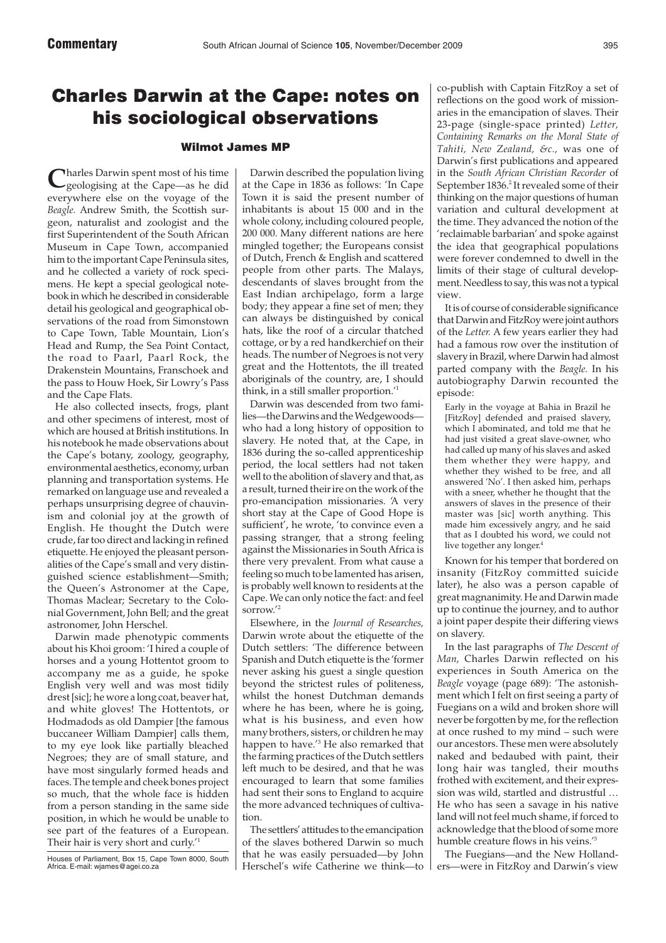## Charles Darwin at the Cape: notes on his sociological observations

## Wilmot James MP

**C**harles Darwin spent most of his time geologising at the Cape—as he did everywhere else on the voyage of the *Beagle.* Andrew Smith, the Scottish surgeon, naturalist and zoologist and the first Superintendent of the South African Museum in Cape Town, accompanied him to the important Cape Peninsula sites, and he collected a variety of rock specimens. He kept a special geological notebook in which he described in considerable detail his geological and geographical observations of the road from Simonstown to Cape Town, Table Mountain, Lion's Head and Rump, the Sea Point Contact, the road to Paarl, Paarl Rock, the Drakenstein Mountains, Franschoek and the pass to Houw Hoek, Sir Lowry's Pass and the Cape Flats.

He also collected insects, frogs, plant and other specimens of interest, most of which are housed at British institutions. In his notebook he made observations about the Cape's botany, zoology, geography, environmental aesthetics, economy, urban planning and transportation systems. He remarked on language use and revealed a perhaps unsurprising degree of chauvinism and colonial joy at the growth of English. He thought the Dutch were crude, far too direct and lacking in refined etiquette. He enjoyed the pleasant personalities of the Cape's small and very distinguished science establishment—Smith; the Queen's Astronomer at the Cape, Thomas Maclear; Secretary to the Colonial Government, John Bell; and the great astronomer, John Herschel.

Darwin made phenotypic comments about his Khoi groom: 'I hired a couple of horses and a young Hottentot groom to accompany me as a guide, he spoke English very well and was most tidily drest [sic]; he wore a long coat, beaver hat, and white gloves! The Hottentots, or Hodmadods as old Dampier [the famous buccaneer William Dampier] calls them, to my eye look like partially bleached Negroes; they are of small stature, and have most singularly formed heads and faces. The temple and cheek bones project so much, that the whole face is hidden from a person standing in the same side position, in which he would be unable to see part of the features of a European. Their hair is very short and curly.<sup>'1</sup>

Houses of Parliament, Box 15, Cape Town 8000, South Africa. E-mail: wjames@agei.co.za

Darwin described the population living at the Cape in 1836 as follows: 'In Cape Town it is said the present number of inhabitants is about 15 000 and in the whole colony, including coloured people, 200 000. Many different nations are here mingled together; the Europeans consist of Dutch, French & English and scattered people from other parts. The Malays, descendants of slaves brought from the East Indian archipelago, form a large body; they appear a fine set of men; they can always be distinguished by conical hats, like the roof of a circular thatched cottage, or by a red handkerchief on their heads. The number of Negroes is not very great and the Hottentots, the ill treated aboriginals of the country, are, I should think, in a still smaller proportion.'1

Darwin was descended from two families—the Darwins and the Wedgewoods who had a long history of opposition to slavery. He noted that, at the Cape, in 1836 during the so-called apprenticeship period, the local settlers had not taken well to the abolition of slavery and that, as a result, turned their ire on the work of the pro-emancipation missionaries. 'A very short stay at the Cape of Good Hope is sufficient', he wrote, 'to convince even a passing stranger, that a strong feeling against the Missionaries in South Africa is there very prevalent. From what cause a feeling so much to be lamented has arisen, is probably well known to residents at the Cape. We can only notice the fact: and feel sorrow.'2

Elsewhere, in the *Journal of Researches,* Darwin wrote about the etiquette of the Dutch settlers: 'The difference between Spanish and Dutch etiquette is the 'former never asking his guest a single question beyond the strictest rules of politeness, whilst the honest Dutchman demands where he has been, where he is going, what is his business, and even how many brothers, sisters, or children he may happen to have.'3 He also remarked that the farming practices of the Dutch settlers left much to be desired, and that he was encouraged to learn that some families had sent their sons to England to acquire the more advanced techniques of cultivation.

The settlers' attitudes to the emancipation of the slaves bothered Darwin so much that he was easily persuaded—by John Herschel's wife Catherine we think—to

co-publish with Captain FitzRoy a set of reflections on the good work of missionaries in the emancipation of slaves. Their 23-page (single-space printed) *Letter, Containing Remarks on the Moral State of Tahiti, New Zealand, &c.,* was one of Darwin's first publications and appeared in the *South African Christian Recorder* of September 1836.<sup>2</sup> It revealed some of their thinking on the major questions of human variation and cultural development at the time. They advanced the notion of the 'reclaimable barbarian' and spoke against the idea that geographical populations were forever condemned to dwell in the limits of their stage of cultural development. Needless to say, this was not a typical view.

It is of course of considerable significance that Darwin and FitzRoy were joint authors of the *Letter.* A few years earlier they had had a famous row over the institution of slavery in Brazil, where Darwin had almost parted company with the *Beagle.* In his autobiography Darwin recounted the episode:

Early in the voyage at Bahia in Brazil he [FitzRoy] defended and praised slavery, which I abominated, and told me that he had just visited a great slave-owner, who had called up many of his slaves and asked them whether they were happy, and whether they wished to be free, and all answered 'No'. I then asked him, perhaps with a sneer, whether he thought that the answers of slaves in the presence of their master was [sic] worth anything. This made him excessively angry, and he said that as I doubted his word, we could not live together any longer.<sup>4</sup>

Known for his temper that bordered on insanity (FitzRoy committed suicide later), he also was a person capable of great magnanimity. He and Darwin made up to continue the journey, and to author a joint paper despite their differing views on slavery.

In the last paragraphs of *The Descent of Man,* Charles Darwin reflected on his experiences in South America on the *Beagle* voyage (page 689): 'The astonishment which I felt on first seeing a party of Fuegians on a wild and broken shore will never be forgotten by me, for the reflection at once rushed to my mind – such were our ancestors. These men were absolutely naked and bedaubed with paint, their long hair was tangled, their mouths frothed with excitement, and their expression was wild, startled and distrustful … He who has seen a savage in his native land will not feel much shame, if forced to acknowledge that the blood of some more humble creature flows in his veins.'5

The Fuegians—and the New Hollanders—were in FitzRoy and Darwin's view